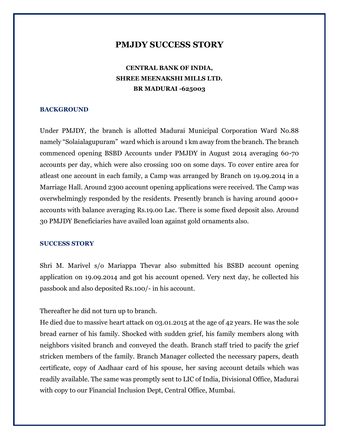## **PMJDY SUCCESS STORY**

# **CENTRAL BANK OF INDIA, SHREE MEENAKSHI MILLS LTD. BR MADURAI -625003**

### **BACKGROUND**

Under PMJDY, the branch is allotted Madurai Municipal Corporation Ward No.88 namely "Solaialagupuram" ward which is around 1 km away from the branch. The branch commenced opening BSBD Accounts under PMJDY in August 2014 averaging 60-70 accounts per day, which were also crossing 100 on some days. To cover entire area for atleast one account in each family, a Camp was arranged by Branch on 19.09.2014 in a Marriage Hall. Around 2300 account opening applications were received. The Camp was overwhelmingly responded by the residents. Presently branch is having around 4000+ accounts with balance averaging Rs.19.00 Lac. There is some fixed deposit also. Around 30 PMJDY Beneficiaries have availed loan against gold ornaments also.

#### **SUCCESS STORY**

Shri M. Marivel s/o Mariappa Thevar also submitted his BSBD account opening application on 19.09.2014 and got his account opened. Very next day, he collected his passbook and also deposited Rs.100/- in his account.

Thereafter he did not turn up to branch.

He died due to massive heart attack on 03.01.2015 at the age of 42 years. He was the sole bread earner of his family. Shocked with sudden grief, his family members along with neighbors visited branch and conveyed the death. Branch staff tried to pacify the grief stricken members of the family. Branch Manager collected the necessary papers, death certificate, copy of Aadhaar card of his spouse, her saving account details which was readily available. The same was promptly sent to LIC of India, Divisional Office, Madurai with copy to our Financial Inclusion Dept, Central Office, Mumbai.